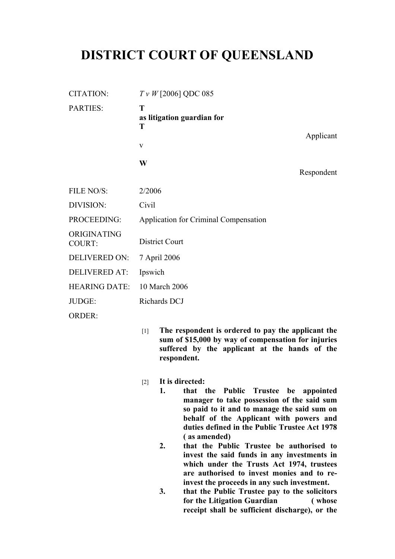## **DISTRICT COURT OF QUEENSLAND**

| <b>CITATION:</b>             | $T \nu W$ [2006] QDC 085              |  |
|------------------------------|---------------------------------------|--|
| PARTIES:                     | T<br>as litigation guardian for<br>T  |  |
|                              | Applicant<br>V                        |  |
|                              | W<br>Respondent                       |  |
| FILE NO/S:                   | 2/2006                                |  |
| DIVISION:                    | Civil                                 |  |
| PROCEEDING:                  | Application for Criminal Compensation |  |
| ORIGINATING<br><b>COURT:</b> | <b>District Court</b>                 |  |
| <b>DELIVERED ON:</b>         | 7 April 2006                          |  |
| <b>DELIVERED AT:</b>         | Ipswich                               |  |
| <b>HEARING DATE:</b>         | 10 March 2006                         |  |
| JUDGE:                       | Richards DCJ                          |  |

ORDER:

[1] **The respondent is ordered to pay the applicant the sum of \$15,000 by way of compensation for injuries suffered by the applicant at the hands of the respondent.**

## [2] **It is directed:**

- **1. that the Public Trustee be appointed manager to take possession of the said sum so paid to it and to manage the said sum on behalf of the Applicant with powers and duties defined in the Public Trustee Act 1978 ( as amended)**
- **2. that the Public Trustee be authorised to invest the said funds in any investments in which under the Trusts Act 1974, trustees are authorised to invest monies and to reinvest the proceeds in any such investment.**
- **3. that the Public Trustee pay to the solicitors for the Litigation Guardian ( whose receipt shall be sufficient discharge), or the**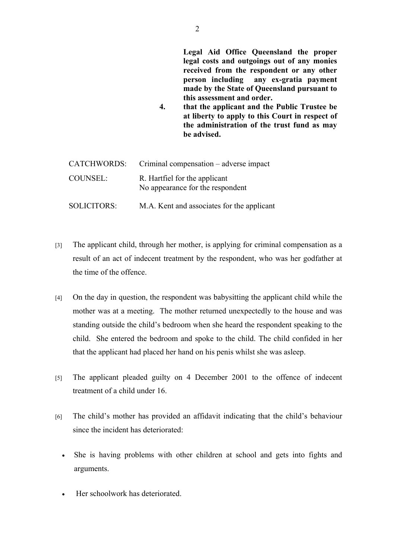**Legal Aid Office Queensland the proper legal costs and outgoings out of any monies received from the respondent or any other person including any ex-gratia payment made by the State of Queensland pursuant to this assessment and order.** 

**4. that the applicant and the Public Trustee be at liberty to apply to this Court in respect of the administration of the trust fund as may be advised.** 

| CATCHWORDS:        | Criminal compensation – adverse impact                            |
|--------------------|-------------------------------------------------------------------|
| <b>COUNSEL:</b>    | R. Hartfiel for the applicant<br>No appearance for the respondent |
| <b>SOLICITORS:</b> | M.A. Kent and associates for the applicant                        |

- [3] The applicant child, through her mother, is applying for criminal compensation as a result of an act of indecent treatment by the respondent, who was her godfather at the time of the offence.
- [4] On the day in question, the respondent was babysitting the applicant child while the mother was at a meeting. The mother returned unexpectedly to the house and was standing outside the child's bedroom when she heard the respondent speaking to the child. She entered the bedroom and spoke to the child. The child confided in her that the applicant had placed her hand on his penis whilst she was asleep.
- [5] The applicant pleaded guilty on 4 December 2001 to the offence of indecent treatment of a child under 16.
- [6] The child's mother has provided an affidavit indicating that the child's behaviour since the incident has deteriorated:
	- She is having problems with other children at school and gets into fights and arguments.
	- Her schoolwork has deteriorated.

2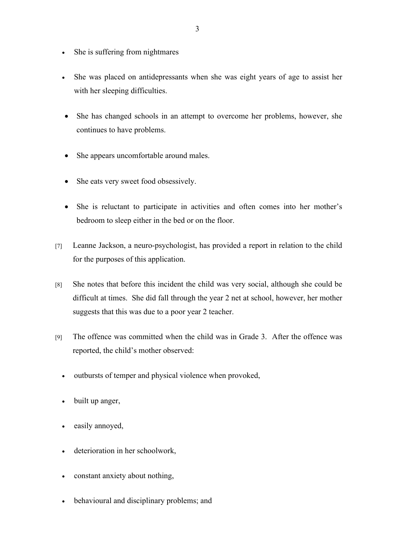- She is suffering from nightmares
- She was placed on antidepressants when she was eight years of age to assist her with her sleeping difficulties.
- She has changed schools in an attempt to overcome her problems, however, she continues to have problems.
- She appears uncomfortable around males.
- She eats very sweet food obsessively.
- She is reluctant to participate in activities and often comes into her mother's bedroom to sleep either in the bed or on the floor.
- [7] Leanne Jackson, a neuro-psychologist, has provided a report in relation to the child for the purposes of this application.
- [8] She notes that before this incident the child was very social, although she could be difficult at times. She did fall through the year 2 net at school, however, her mother suggests that this was due to a poor year 2 teacher.
- [9] The offence was committed when the child was in Grade 3. After the offence was reported, the child's mother observed:
	- outbursts of temper and physical violence when provoked,
	- built up anger,
	- easily annoyed,
	- deterioration in her schoolwork,
	- constant anxiety about nothing,
	- behavioural and disciplinary problems; and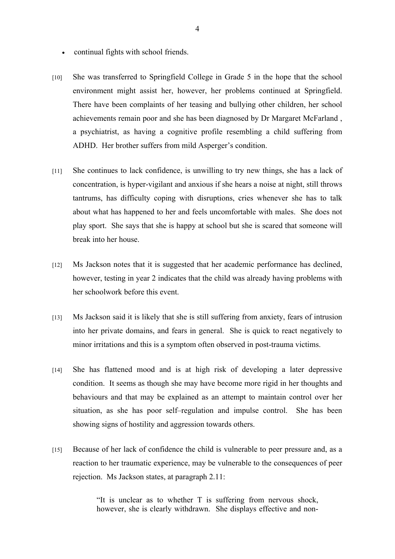- continual fights with school friends.
- [10] She was transferred to Springfield College in Grade 5 in the hope that the school environment might assist her, however, her problems continued at Springfield. There have been complaints of her teasing and bullying other children, her school achievements remain poor and she has been diagnosed by Dr Margaret McFarland , a psychiatrist, as having a cognitive profile resembling a child suffering from ADHD. Her brother suffers from mild Asperger's condition.
- [11] She continues to lack confidence, is unwilling to try new things, she has a lack of concentration, is hyper-vigilant and anxious if she hears a noise at night, still throws tantrums, has difficulty coping with disruptions, cries whenever she has to talk about what has happened to her and feels uncomfortable with males. She does not play sport. She says that she is happy at school but she is scared that someone will break into her house.
- [12] Ms Jackson notes that it is suggested that her academic performance has declined, however, testing in year 2 indicates that the child was already having problems with her schoolwork before this event.
- [13] Ms Jackson said it is likely that she is still suffering from anxiety, fears of intrusion into her private domains, and fears in general. She is quick to react negatively to minor irritations and this is a symptom often observed in post-trauma victims.
- [14] She has flattened mood and is at high risk of developing a later depressive condition. It seems as though she may have become more rigid in her thoughts and behaviours and that may be explained as an attempt to maintain control over her situation, as she has poor self–regulation and impulse control. She has been showing signs of hostility and aggression towards others.
- [15] Because of her lack of confidence the child is vulnerable to peer pressure and, as a reaction to her traumatic experience, may be vulnerable to the consequences of peer rejection. Ms Jackson states, at paragraph 2.11:

"It is unclear as to whether T is suffering from nervous shock, however, she is clearly withdrawn. She displays effective and non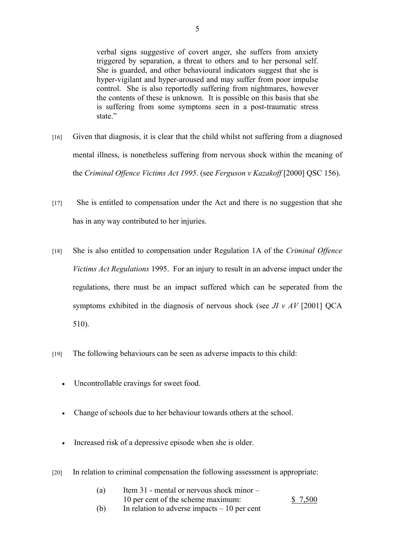verbal signs suggestive of covert anger, she suffers from anxiety triggered by separation, a threat to others and to her personal self. She is guarded, and other behavioural indicators suggest that she is hyper-vigilant and hyper-aroused and may suffer from poor impulse control. She is also reportedly suffering from nightmares, however the contents of these is unknown. It is possible on this basis that she is suffering from some symptoms seen in a post-traumatic stress state<sup>"</sup>

- [16] Given that diagnosis, it is clear that the child whilst not suffering from a diagnosed mental illness, is nonetheless suffering from nervous shock within the meaning of the *Criminal Offence Victims Act 1995*. (see *Ferguson v Kazakoff* [2000] QSC 156).
- [17] She is entitled to compensation under the Act and there is no suggestion that she has in any way contributed to her injuries.
- [18] She is also entitled to compensation under Regulation 1A of the *Criminal Offence Victims Act Regulations* 1995. For an injury to result in an adverse impact under the regulations, there must be an impact suffered which can be seperated from the symptoms exhibited in the diagnosis of nervous shock (see *JI v AV* [2001] QCA 510).
- [19] The following behaviours can be seen as adverse impacts to this child:
	- Uncontrollable cravings for sweet food.
	- Change of schools due to her behaviour towards others at the school.
	- Increased risk of a depressive episode when she is older.
- [20] In relation to criminal compensation the following assessment is appropriate:

| (a) | Item 31 - mental or nervous shock minor –     |         |
|-----|-----------------------------------------------|---------|
|     | 10 per cent of the scheme maximum:            | \$7,500 |
| (b) | In relation to adverse impacts $-10$ per cent |         |